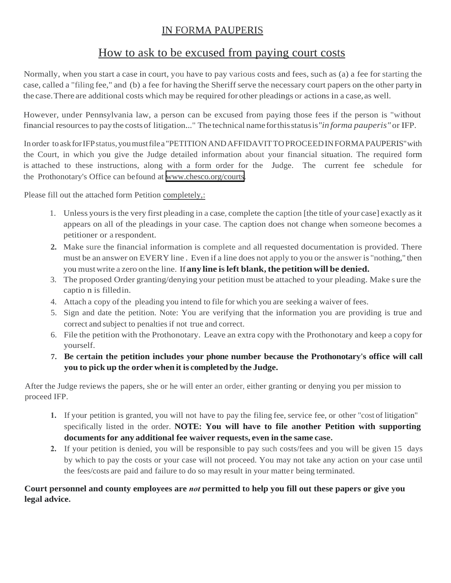## IN FORMA PAUPERIS

# How to ask to be excused from paying court costs

Normally, when you start a case in court, you have to pay various costs and fees, such as (a) a fee for starting the case, called a "filing fee," and (b) a fee for having the Sheriff serve the necessary court papers on the other party in the case.There are additional costs which may be required for other pleadings or actions in a case,as well.

However, under Pennsylvania law, a person can be excused from paying those fees if the person is "without financial resources to paythe costsof litigation..." The technical nameforthisstatusis*"in forma pauperis"* or IFP.

In order to askforIFPstatus,youmustfilea "PETITION ANDAFFIDAVITTOPROCEEDIN FORMAPAUPERIS"with the Court, in which you give the Judge detailed information about your financial situation. The required form is attached to these instructions, along with a form order for the Judge. The current fee schedule for the Prothonotary's Office can befound at [www.chesco.org/courts.](http://www.chesco.org/courts)

Please fill out the attached form Petition completely,:

- 1. Unless yoursisthe very first pleading in a case, complete the caption [the title of your case] exactly as it appears on all of the pleadings in your case. The caption does not change when someone becomes a petitioner or a respondent.
- **2.** Make sure the financial information is complete and all requested documentation is provided. There must be an answer on EVERY line . Even if a line does not apply to you or the answer is "nothing," then you mustwrite a zero on the line. If**any line is left blank, the petition will be denied.**
- 3. The proposed Order granting/denying your petition must be attached to your pleading. Make s ure the captio n is filledin.
- 4. Attach a copy of the pleading you intend to file for which you are seeking a waiver of fees.
- 5. Sign and date the petition. Note: You are verifying that the information you are providing is true and correct and subject to penalties if not true and correct.
- 6. File the petition with the Prothonotary. Leave an extra copy with the Prothonotary and keep a copy for yourself.
- **7. Be certain the petition includes your phone number because the Prothonotary's office will call you to pick up the order when it is completed by the Judge.**

After the Judge reviews the papers, she or he will enter an order, either granting or denying you per mission to proceed IFP.

- **1.** If your petition is granted, you will not have to pay the filing fee, service fee, or other "cost of litigation" specifically listed in the order. **NOTE: You will have to file another Petition with supporting documents for any additional fee waiver requests, even in the same case.**
- **2.** If your petition is denied, you will be responsible to pay such costs/fees and you will be given 15 days by which to pay the costs or your case will not proceed. You may not take any action on your case until the fees/costs are paid and failure to do so may result in your matter being terminated.

## **Court personnel and county employees are** *not* **permitted to help you fill out these papers or give you legal advice.**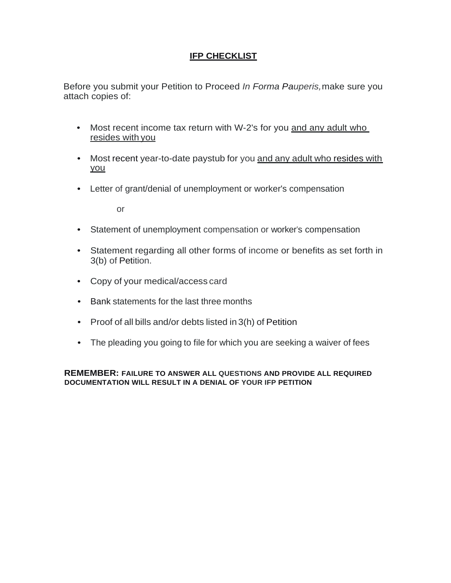## **IFP CHECKLIST**

Before you submit your Petition to Proceed *In Forma Pauperis,*make sure you attach copies of:

- Most recent income tax return with W-2's for you and any adult who resides with you
- Most recent year-to-date paystub for you and any adult who resides with you
- Letter of grant/denial of unemployment or worker's compensation

or

- Statement of unemployment compensation or worker's compensation
- Statement regarding all other forms of income or benefits as set forth in 3(b) of Petition.
- Copy of your medical/access card
- Bank statements for the last three months
- Proof of all bills and/or debts listed in 3(h) of Petition
- The pleading you going to file for which you are seeking a waiver of fees

**REMEMBER: FAILURE TO ANSWER ALL QUESTIONS AND PROVIDE ALL REQUIRED DOCUMENTATION WILL RESULT IN A DENIAL OF YOUR IFP PETITION**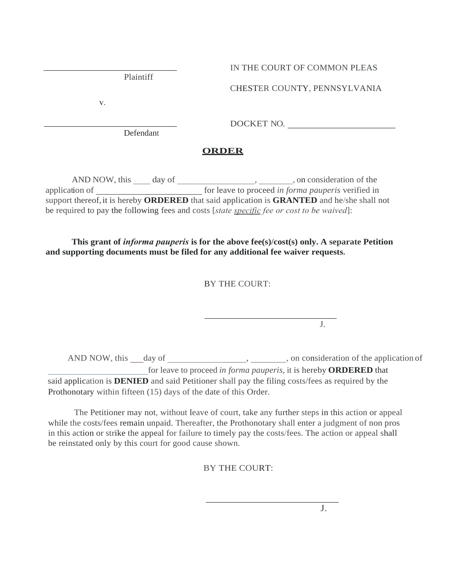Plaintiff

## IN THE COURT OF COMMON PLEAS

CHESTER COUNTY, PENNSYLVANIA

**V.**

DOCKET NO.

Defendant

## **ORDER**

AND NOW, this \_\_\_\_ day of \_\_\_\_\_\_\_\_\_\_\_\_\_\_\_\_\_, \_\_\_\_\_\_, on consideration of the application of \_\_\_\_\_\_\_\_\_\_\_\_\_\_\_\_\_\_\_\_\_\_\_\_\_ for leave to proceed *in forma pauperis* verified in support thereof,it is hereby **ORDERED** that said application is **GRANTED** and he/she shall not be required to pay the following fees and costs [*state specific fee or cost to be waived*]:

## **This grant of** *informa pauperis* **is for the above fee(s)/cost(s) only. A separate Petition and supporting documents must be filed for any additional fee waiver requests.**

## BY THE COURT:

AND NOW, this \_\_\_day of \_\_\_\_\_\_\_\_\_\_\_\_\_\_\_, \_\_\_\_\_\_\_, on consideration of the application of \_\_\_\_\_\_\_\_\_\_\_\_\_\_\_\_\_\_\_\_\_\_\_for leave to proceed *in forma pauperis,* it is hereby **ORDERED** that said application is **DENIED** and said Petitioner shall pay the filing costs/fees as required by the

Prothonotary within fifteen (15) days of the date of this Order.

The Petitioner may not, without leave of court, take any further steps in this action or appeal while the costs/fees remain unpaid. Thereafter, the Prothonotary shall enter a judgment of non pros in this action or strike the appeal for failure to timely pay the costs/fees. The action or appeal shall be reinstated only by this court for good cause shown.

BY THE COURT:

J.

J.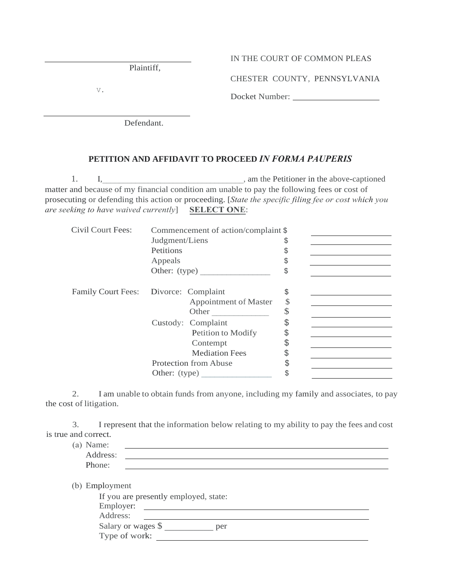| IN THE COURT OF COMMON PLEAS |  |  |  |  |  |  |  |  |
|------------------------------|--|--|--|--|--|--|--|--|
|------------------------------|--|--|--|--|--|--|--|--|

CHESTER COUNTY, PENNSYLVANIA

Docket Number:

V.

Defendant.

### **PETITION AND AFFIDAVIT TO PROCEED** *IN FORMA PAUPERIS*

1. I, The subset of the Section of the Petitioner in the above-captioned in the above-captioned matter and because of my financial condition am unable to pay the following fees or cost of prosecuting or defending this action or proceeding. [*State the specific filing fee or cost which you are seeking to have waived currently*] **SELECT ONE**:

| Civil Court Fees:                     |                | Commencement of action/complaint \$ |    |  |
|---------------------------------------|----------------|-------------------------------------|----|--|
|                                       | Judgment/Liens |                                     | \$ |  |
|                                       | Petitions      |                                     | S  |  |
|                                       | Appeals        |                                     | S  |  |
|                                       |                | Other: (type)                       | \$ |  |
|                                       |                |                                     |    |  |
| Family Court Fees: Divorce: Complaint |                |                                     | \$ |  |
|                                       |                | Appointment of Master               | \$ |  |
|                                       |                | Other                               | \$ |  |
|                                       |                | Custody: Complaint                  | \$ |  |
|                                       |                | Petition to Modify                  | \$ |  |
|                                       |                | Contempt                            | \$ |  |
|                                       |                | <b>Mediation Fees</b>               | \$ |  |
|                                       |                | Protection from Abuse               | \$ |  |
|                                       | Other: (type)  |                                     | \$ |  |
|                                       |                |                                     |    |  |

2. I am unable to obtain funds from anyone, including my family and associates, to pay the cost of litigation.

3. I represent that the information below relating to my ability to pay the fees and cost is true and correct.

| (a) Name: |  |
|-----------|--|
| Address:  |  |
| Phone:    |  |
|           |  |

| (b) Employment                        |
|---------------------------------------|
| If you are presently employed, state: |
| Employer:                             |

| $L$ <sub>III</sub> $p$ <sub>i</sub> o $y$ $C$ i. |  |
|--------------------------------------------------|--|
| Address:                                         |  |

Salary or wages \$ \_\_\_\_\_\_\_\_\_\_ per

|  | Type of work: |  |
|--|---------------|--|
|  |               |  |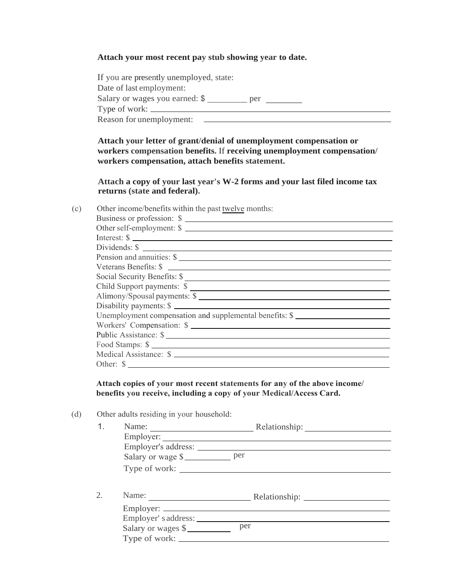#### **Attach your most recent pay stub showing year to date.**

| If you are presently unemployed, state: |     |
|-----------------------------------------|-----|
| Date of last employment:                |     |
| Salary or wages you earned: \$          | per |
|                                         |     |
| Reason for unemployment:                |     |

**Attach your letter of grant/denial of unemployment compensation or workers compensation benefits.** If **receiving unemployment compensation/ workers compensation, attach benefits statement.**

**Attach a copy of your last year's W-2 forms and your last filed income tax returns (state and federal).**

(c) Other income/benefits within the past twelve months:

| Other self-employment: \$<br>Interest: $\frac{1}{2}$<br>Dividends: \$<br>Pension and annuities: \$<br>Veterans Benefits: \$<br>Social Security Benefits: \$<br>Child Support payments: \$<br>Alimony/Spousal payments: \$<br>Disability payments: \$<br>Unemployment compensation and supplemental benefits: \$<br>Workers' Compensation: \$<br>Public Assistance: \$ |
|-----------------------------------------------------------------------------------------------------------------------------------------------------------------------------------------------------------------------------------------------------------------------------------------------------------------------------------------------------------------------|
|                                                                                                                                                                                                                                                                                                                                                                       |
|                                                                                                                                                                                                                                                                                                                                                                       |
|                                                                                                                                                                                                                                                                                                                                                                       |
|                                                                                                                                                                                                                                                                                                                                                                       |
|                                                                                                                                                                                                                                                                                                                                                                       |
|                                                                                                                                                                                                                                                                                                                                                                       |
|                                                                                                                                                                                                                                                                                                                                                                       |
|                                                                                                                                                                                                                                                                                                                                                                       |
|                                                                                                                                                                                                                                                                                                                                                                       |
|                                                                                                                                                                                                                                                                                                                                                                       |
|                                                                                                                                                                                                                                                                                                                                                                       |
|                                                                                                                                                                                                                                                                                                                                                                       |
| Food Stamps: \$                                                                                                                                                                                                                                                                                                                                                       |
| Medical Assistance: \$                                                                                                                                                                                                                                                                                                                                                |
| Other: \$                                                                                                                                                                                                                                                                                                                                                             |

**Attach copies of your most recent statements for any of the above income/ benefits you receive, including a copy of your Medical/Access Card.**

(d) Other adults residing in your household:

| Name:               |                     |
|---------------------|---------------------|
| Employer:           |                     |
|                     |                     |
| Salary or wage \$   |                     |
| Type of work:       |                     |
|                     |                     |
|                     | Name: Relationship: |
| Employer:           |                     |
| Employer' saddress: |                     |
| Salary or wages \$  | per                 |
|                     |                     |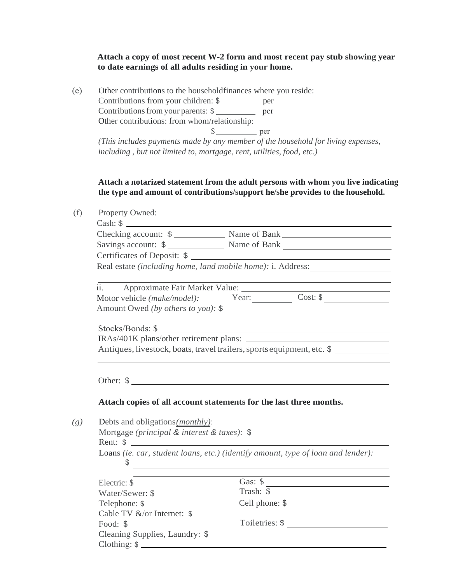#### **Attach a copy of most recent W-2 form and most recent pay stub showing year to date earnings of all adults residing in your home.**

(e) Other contributions to the household finances where you reside: Contributions from your children: \$ Contributions from your parents: \$ Other contributions: from whom/relationship: \$ per *(This includes payments made by any member of the household for living expenses, including , but not limited to, mortgage, rent, utilities, food, etc.)*

### **Attach a notarized statement from the adult persons with whom you live indicating the type and amount of contributions/support he/she provides to the household.**

| Property Owned:                                                                                                      |                                                                                                                                                                  |  |  |  |  |
|----------------------------------------------------------------------------------------------------------------------|------------------------------------------------------------------------------------------------------------------------------------------------------------------|--|--|--|--|
|                                                                                                                      |                                                                                                                                                                  |  |  |  |  |
|                                                                                                                      | Checking account: \$ Name of Bank Name of Bank                                                                                                                   |  |  |  |  |
|                                                                                                                      | Savings account: \$                                                                                                                                              |  |  |  |  |
|                                                                                                                      | Certificates of Deposit: \$                                                                                                                                      |  |  |  |  |
| Real estate (including home, land mobile home): i. Address:<br><u> 1980 - Jan Barbara Barbara, politik politik (</u> |                                                                                                                                                                  |  |  |  |  |
|                                                                                                                      | <u> 1980 - Johann Barn, mars ann an t-Amhain Aonaichte ann an t-Amhain Aonaichte ann an t-Amhain Aonaichte ann an</u><br>ii. Approximate Fair Market Value: 1997 |  |  |  |  |
|                                                                                                                      | Motor vehicle (make/model): Year: Cost: \$                                                                                                                       |  |  |  |  |
|                                                                                                                      |                                                                                                                                                                  |  |  |  |  |
|                                                                                                                      |                                                                                                                                                                  |  |  |  |  |
|                                                                                                                      |                                                                                                                                                                  |  |  |  |  |
|                                                                                                                      |                                                                                                                                                                  |  |  |  |  |
| Antiques, livestock, boats, travel trailers, sports equipment, etc. \$                                               |                                                                                                                                                                  |  |  |  |  |
|                                                                                                                      | Other: \$                                                                                                                                                        |  |  |  |  |
|                                                                                                                      | Attach copies of all account statements for the last three months.                                                                                               |  |  |  |  |
|                                                                                                                      |                                                                                                                                                                  |  |  |  |  |
| Debts and obligations ( <i>monthly</i> ):                                                                            |                                                                                                                                                                  |  |  |  |  |
| Rent: $\frac{1}{2}$                                                                                                  |                                                                                                                                                                  |  |  |  |  |
| S                                                                                                                    | Loans (ie. car, student loans, etc.) (identify amount, type of loan and lender):                                                                                 |  |  |  |  |
|                                                                                                                      |                                                                                                                                                                  |  |  |  |  |
|                                                                                                                      | Mortgage (principal & interest & taxes): \$<br><u> 1989 - Johann Barbara, martxa alemaniar arg</u><br>Electric: $\oint$ Gas: $\oint$ Gas: $\oint$                |  |  |  |  |
|                                                                                                                      | Water/Sewer: $\frac{\sqrt{3}}{2}$ Trash: $\frac{\sqrt{3}}{2}$ Trash: $\frac{\sqrt{3}}{2}$                                                                        |  |  |  |  |
| Cable TV &/or Internet: \$                                                                                           | <u> 1980 - Johann Barbara, martin amerikan basal da</u><br>Toiletries: \$                                                                                        |  |  |  |  |

Cleaning Supplies, Laundry: \$

Clothing: \$